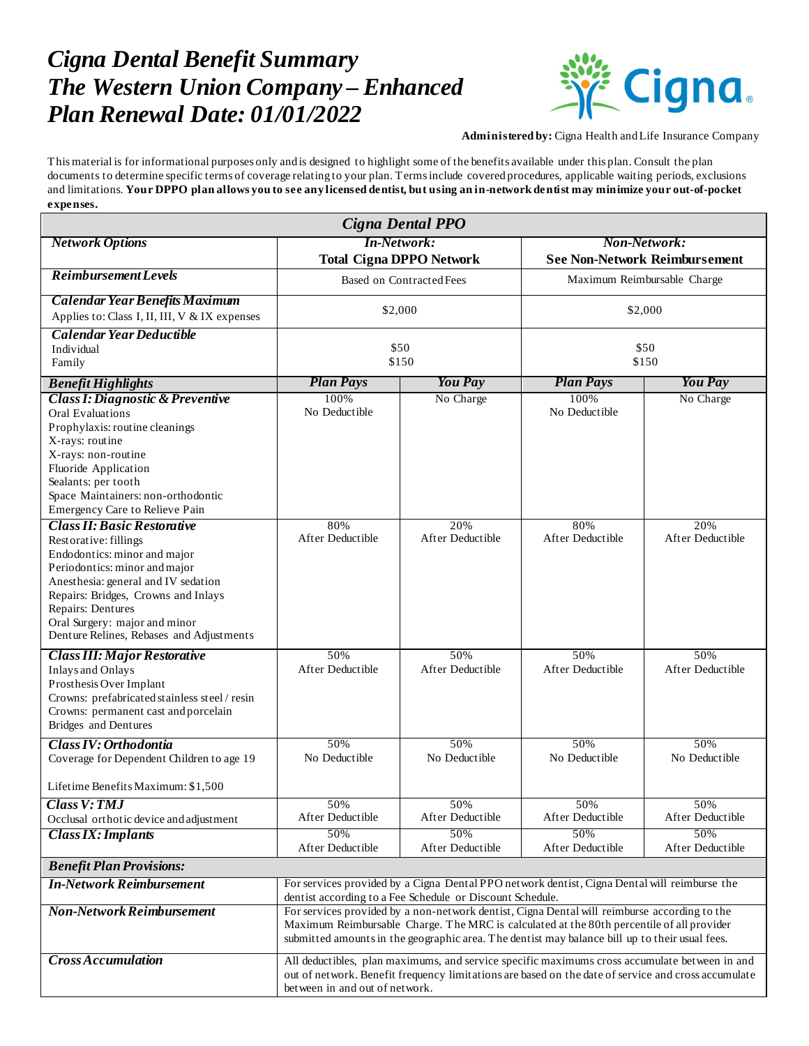## *Cigna Dental Benefit Summary The Western Union Company – Enhanced Plan Renewal Date: 01/01/2022*



**Administered by:** Cigna Health and Life Insurance Company

This material is for informational purposes only and is designed to highlight some of the benefits available under this plan. Consult the plan documents to determine specific terms of coverage relating to your plan. Terms include covered procedures, applicable waiting periods, exclusions and limitations. **Your DPPO plan allows you to see any licensed dentist, but using an in-network dentist may minimize your out-of-pocket expenses.**

| Cigna Dental PPO                                                          |                                                                                                                                                           |                         |                                      |                         |
|---------------------------------------------------------------------------|-----------------------------------------------------------------------------------------------------------------------------------------------------------|-------------------------|--------------------------------------|-------------------------|
| <b>Network Options</b>                                                    | <b>In-Network:</b>                                                                                                                                        |                         | Non-Network:                         |                         |
| <b>Reimbursement Levels</b>                                               | <b>Total Cigna DPPO Network</b>                                                                                                                           |                         | <b>See Non-Network Reimbursement</b> |                         |
|                                                                           | <b>Based on Contracted Fees</b>                                                                                                                           |                         | Maximum Reimbursable Charge          |                         |
| <b>Calendar Year Benefits Maximum</b>                                     | \$2,000                                                                                                                                                   |                         | \$2,000                              |                         |
| Applies to: Class I, II, III, V & IX expenses<br>Calendar Year Deductible |                                                                                                                                                           |                         |                                      |                         |
| Individual                                                                | \$50                                                                                                                                                      |                         | \$50                                 |                         |
| Family                                                                    | \$150                                                                                                                                                     |                         | \$150                                |                         |
| <b>Benefit Highlights</b>                                                 | <b>Plan Pays</b>                                                                                                                                          | You Pay                 | <b>Plan Pays</b>                     | You Pay                 |
| <b>Class I: Diagnostic &amp; Preventive</b>                               | 100%                                                                                                                                                      | No Charge               | 100%                                 | No Charge               |
| <b>Oral Evaluations</b>                                                   | No Deductible                                                                                                                                             |                         | No Deductible                        |                         |
| Prophylaxis: routine cleanings                                            |                                                                                                                                                           |                         |                                      |                         |
| X-rays: routine<br>X-rays: non-routine                                    |                                                                                                                                                           |                         |                                      |                         |
| Fluoride Application                                                      |                                                                                                                                                           |                         |                                      |                         |
| Sealants: per tooth                                                       |                                                                                                                                                           |                         |                                      |                         |
| Space Maintainers: non-orthodontic                                        |                                                                                                                                                           |                         |                                      |                         |
| Emergency Care to Relieve Pain                                            |                                                                                                                                                           |                         |                                      |                         |
| <b>Class II: Basic Restorative</b>                                        | 80%<br>After Deductible                                                                                                                                   | 20%<br>After Deductible | 80%<br>After Deductible              | 20%<br>After Deductible |
| Restorative: fillings<br>Endodontics: minor and major                     |                                                                                                                                                           |                         |                                      |                         |
| Periodontics: minor and major                                             |                                                                                                                                                           |                         |                                      |                         |
| Anesthesia: general and IV sedation                                       |                                                                                                                                                           |                         |                                      |                         |
| Repairs: Bridges, Crowns and Inlays                                       |                                                                                                                                                           |                         |                                      |                         |
| Repairs: Dentures                                                         |                                                                                                                                                           |                         |                                      |                         |
| Oral Surgery: major and minor<br>Denture Relines, Rebases and Adjustments |                                                                                                                                                           |                         |                                      |                         |
|                                                                           |                                                                                                                                                           |                         |                                      |                         |
| <b>Class III: Major Restorative</b><br><b>Inlays and Onlays</b>           | 50%<br>After Deductible                                                                                                                                   | 50%<br>After Deductible | 50%<br>After Deductible              | 50%<br>After Deductible |
| Prosthesis Over Implant                                                   |                                                                                                                                                           |                         |                                      |                         |
| Crowns: prefabricated stainless steel / resin                             |                                                                                                                                                           |                         |                                      |                         |
| Crowns: permanent cast and porcelain                                      |                                                                                                                                                           |                         |                                      |                         |
| <b>Bridges</b> and Dentures                                               |                                                                                                                                                           |                         |                                      |                         |
| Class <b>IV</b> : Orthodontia                                             | 50%                                                                                                                                                       | 50%                     | 50%                                  | 50%                     |
| Coverage for Dependent Children to age 19                                 | No Deductible                                                                                                                                             | No Deductible           | No Deductible                        | No Deductible           |
| Lifetime Benefits Maximum: \$1,500                                        |                                                                                                                                                           |                         |                                      |                         |
| <b>Class V: TMJ</b>                                                       | 50%                                                                                                                                                       | 50%                     | 50%                                  | 50%                     |
| Occlusal orthotic device and adjustment                                   | After Deductible                                                                                                                                          | After Deductible        | After Deductible                     | After Deductible        |
| <b>Class IX: Implants</b>                                                 | 50%<br>After Deductible                                                                                                                                   | 50%<br>After Deductible | 50%<br>After Deductible              | 50%<br>After Deductible |
| <b>Benefit Plan Provisions:</b>                                           |                                                                                                                                                           |                         |                                      |                         |
| <b>In-Network Reimbursement</b>                                           | For services provided by a Cigna Dental PPO network dentist, Cigna Dental will reimburse the                                                              |                         |                                      |                         |
| <b>Non-Network Reimbursement</b>                                          | dentist according to a Fee Schedule or Discount Schedule.<br>For services provided by a non-network dentist, Cigna Dental will reimburse according to the |                         |                                      |                         |
|                                                                           | Maximum Reimbursable Charge. The MRC is calculated at the 80th percentile of all provider                                                                 |                         |                                      |                         |
|                                                                           | submitted amounts in the geographic area. The dentist may balance bill up to their usual fees.                                                            |                         |                                      |                         |
| Cross Accumulation                                                        | All deductibles, plan maximums, and service specific maximums cross accumulate between in and                                                             |                         |                                      |                         |
|                                                                           | out of network. Benefit frequency limitations are based on the date of service and cross accumulate                                                       |                         |                                      |                         |
|                                                                           | between in and out of network.                                                                                                                            |                         |                                      |                         |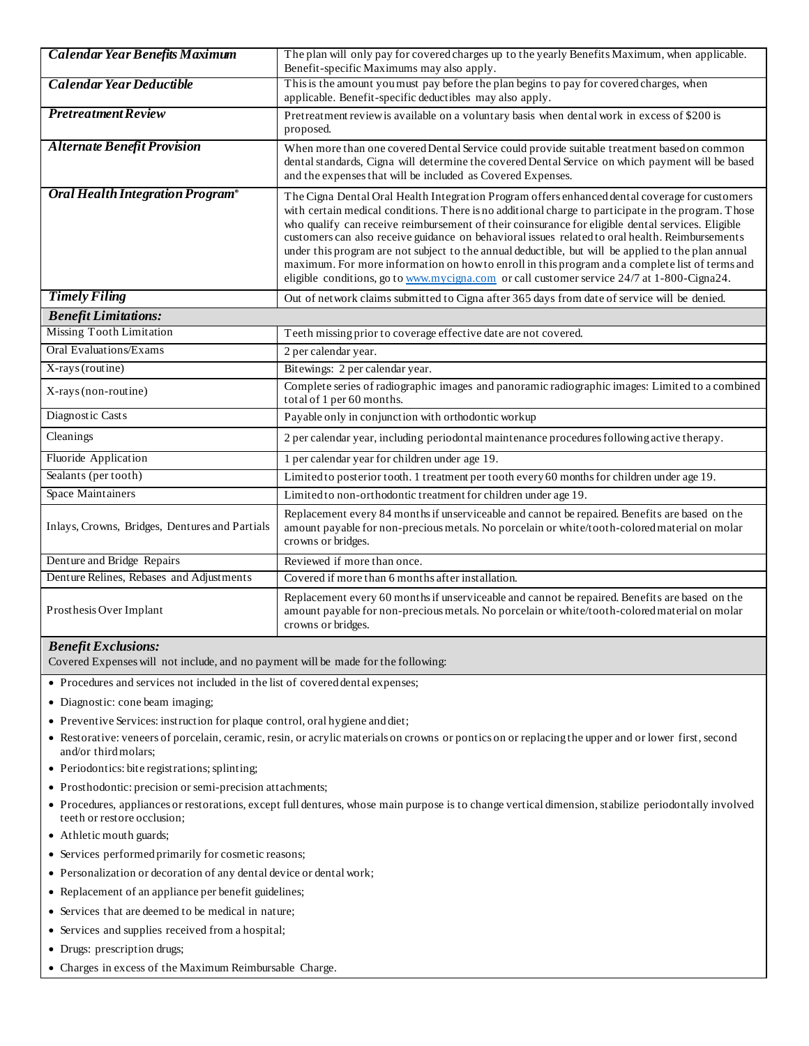| <b>Calendar Year Benefits Maximum</b>          | The plan will only pay for covered charges up to the yearly Benefits Maximum, when applicable.<br>Benefit-specific Maximums may also apply.                                                                                                                                                                                                                                                                                                                                                                                                                                                                                                                                                                           |
|------------------------------------------------|-----------------------------------------------------------------------------------------------------------------------------------------------------------------------------------------------------------------------------------------------------------------------------------------------------------------------------------------------------------------------------------------------------------------------------------------------------------------------------------------------------------------------------------------------------------------------------------------------------------------------------------------------------------------------------------------------------------------------|
| Calendar Year Deductible                       | This is the amount you must pay before the plan begins to pay for covered charges, when<br>applicable. Benefit-specific deductibles may also apply.                                                                                                                                                                                                                                                                                                                                                                                                                                                                                                                                                                   |
| <b>Pretreatment Review</b>                     | Pretreatment review is available on a voluntary basis when dental work in excess of \$200 is<br>proposed.                                                                                                                                                                                                                                                                                                                                                                                                                                                                                                                                                                                                             |
| <b>Alternate Benefit Provision</b>             | When more than one covered Dental Service could provide suitable treatment based on common<br>dental standards, Cigna will determine the covered Dental Service on which payment will be based<br>and the expenses that will be included as Covered Expenses.                                                                                                                                                                                                                                                                                                                                                                                                                                                         |
| Oral Health Integration Program®               | The Cigna Dental Oral Health Integration Program offers enhanced dental coverage for customers<br>with certain medical conditions. There is no additional charge to participate in the program. Those<br>who qualify can receive reimbursement of their coinsurance for eligible dental services. Eligible<br>customers can also receive guidance on behavioral issues related to oral health. Reimbursements<br>under this program are not subject to the annual deductible, but will be applied to the plan annual<br>maximum. For more information on how to enroll in this program and a complete list of terms and<br>eligible conditions, go to www.mycigna.com or call customer service 24/7 at 1-800-Cigna24. |
| <b>Timely Filing</b>                           | Out of network claims submitted to Cigna after 365 days from date of service will be denied.                                                                                                                                                                                                                                                                                                                                                                                                                                                                                                                                                                                                                          |
| <b>Benefit Limitations:</b>                    |                                                                                                                                                                                                                                                                                                                                                                                                                                                                                                                                                                                                                                                                                                                       |
| <b>Missing Tooth Limitation</b>                | Teeth missing prior to coverage effective date are not covered.                                                                                                                                                                                                                                                                                                                                                                                                                                                                                                                                                                                                                                                       |
| <b>Oral Evaluations/Exams</b>                  | 2 per calendar year.                                                                                                                                                                                                                                                                                                                                                                                                                                                                                                                                                                                                                                                                                                  |
| X-rays (routine)                               | Bitewings: 2 per calendar year.                                                                                                                                                                                                                                                                                                                                                                                                                                                                                                                                                                                                                                                                                       |
| X-rays (non-routine)                           | Complete series of radiographic images and panoramic radiographic images: Limited to a combined<br>total of 1 per 60 months.                                                                                                                                                                                                                                                                                                                                                                                                                                                                                                                                                                                          |
| Diagnostic Casts                               | Payable only in conjunction with orthodontic workup                                                                                                                                                                                                                                                                                                                                                                                                                                                                                                                                                                                                                                                                   |
| Cleanings                                      | 2 per calendar year, including periodontal maintenance procedures following active therapy.                                                                                                                                                                                                                                                                                                                                                                                                                                                                                                                                                                                                                           |
| Fluoride Application                           | 1 per calendar year for children under age 19.                                                                                                                                                                                                                                                                                                                                                                                                                                                                                                                                                                                                                                                                        |
| Sealants (per tooth)                           | Limited to posterior tooth. 1 treatment per tooth every 60 months for children under age 19.                                                                                                                                                                                                                                                                                                                                                                                                                                                                                                                                                                                                                          |
| Space Maintainers                              | Limited to non-orthodontic treatment for children under age 19.                                                                                                                                                                                                                                                                                                                                                                                                                                                                                                                                                                                                                                                       |
| Inlays, Crowns, Bridges, Dentures and Partials | Replacement every 84 months if unserviceable and cannot be repaired. Benefits are based on the<br>amount payable for non-precious metals. No porcelain or white/tooth-colored material on molar<br>crowns or bridges.                                                                                                                                                                                                                                                                                                                                                                                                                                                                                                 |
| Denture and Bridge Repairs                     | Reviewed if more than once.                                                                                                                                                                                                                                                                                                                                                                                                                                                                                                                                                                                                                                                                                           |
| Denture Relines, Rebases and Adjustments       | Covered if more than 6 months after installation.                                                                                                                                                                                                                                                                                                                                                                                                                                                                                                                                                                                                                                                                     |
| Prosthesis Over Implant                        | Replacement every 60 months if unserviceable and cannot be repaired. Benefits are based on the<br>amount payable for non-precious metals. No porcelain or white/tooth-colored material on molar<br>crowns or bridges.                                                                                                                                                                                                                                                                                                                                                                                                                                                                                                 |

## *Benefit Exclusions:*

Covered Expenses will not include, and no payment will be made for the following:

• Procedures and services not included in the list of covered dental expenses;

- Diagnostic: cone beam imaging;
- Preventive Services: instruction for plaque control, oral hygiene and diet;
- Restorative: veneers of porcelain, ceramic, resin, or acrylic materials on crowns or pontics on or replacing the upper and or lower first, second and/or third molars;
- Periodontics: bite registrations; splinting;
- Prosthodontic: precision or semi-precision attachments;
- Procedures, appliances or restorations, except full dentures, whose main purpose is to change vertical dimension, stabilize periodontally involved teeth or restore occlusion;
- Athletic mouth guards;
- Services performed primarily for cosmetic reasons;
- Personalization or decoration of any dental device or dental work;
- Replacement of an appliance per benefit guidelines;
- Services that are deemed to be medical in nature;
- Services and supplies received from a hospital;
- Drugs: prescription drugs;
- Charges in excess of the Maximum Reimbursable Charge.